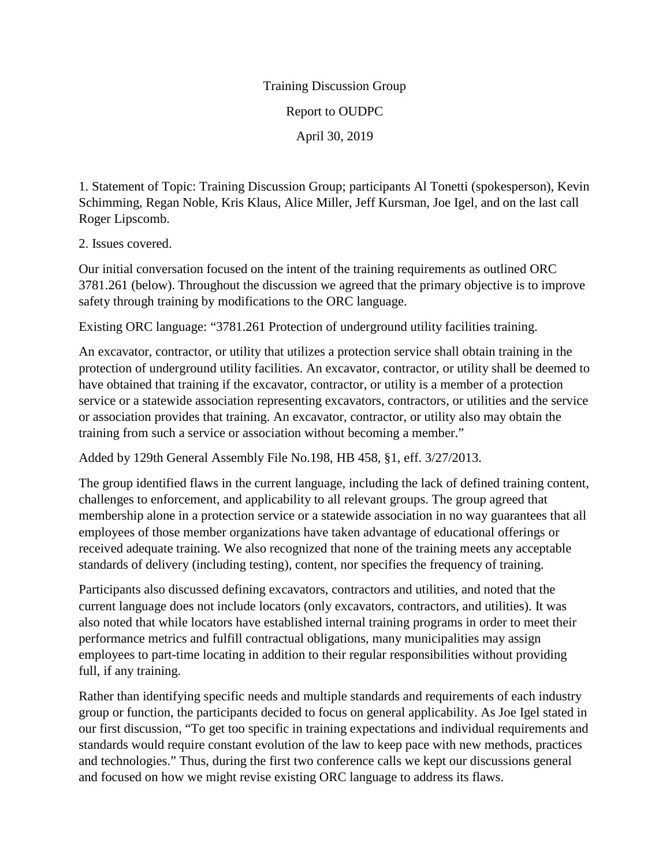## Training Discussion Group Report to OUDPC April 30, 2019

1. Statement of Topic: Training Discussion Group; participants Al Tonetti (spokesperson), Kevin Schimming, Regan Noble, Kris Klaus, Alice Miller, Jeff Kursman, Joe Igel, and on the last call Roger Lipscomb.

2. Issues covered.

Our initial conversation focused on the intent of the training requirements as outlined ORC 3781.261 (below). Throughout the discussion we agreed that the primary objective is to improve safety through training by modifications to the ORC language.

Existing ORC language: "3781.261 Protection of underground utility facilities training.

An excavator, contractor, or utility that utilizes a protection service shall obtain training in the protection of underground utility facilities. An excavator, contractor, or utility shall be deemed to have obtained that training if the excavator, contractor, or utility is a member of a protection service or a statewide association representing excavators, contractors, or utilities and the service or association provides that training. An excavator, contractor, or utility also may obtain the training from such a service or association without becoming a member."

Added by 129th General Assembly File No.198, HB 458, §1, eff. 3/27/2013.

The group identified flaws in the current language, including the lack of defined training content, challenges to enforcement, and applicability to all relevant groups. The group agreed that membership alone in a protection service or a statewide association in no way guarantees that all employees of those member organizations have taken advantage of educational offerings or received adequate training. We also recognized that none of the training meets any acceptable standards of delivery (including testing), content, nor specifies the frequency of training.

Participants also discussed defining excavators, contractors and utilities, and noted that the current language does not include locators (only excavators, contractors, and utilities). It was also noted that while locators have established internal training programs in order to meet their performance metrics and fulfill contractual obligations, many municipalities may assign employees to part-time locating in addition to their regular responsibilities without providing full, if any training.

Rather than identifying specific needs and multiple standards and requirements of each industry group or function, the participants decided to focus on general applicability. As Joe Igel stated in our first discussion, "To get too specific in training expectations and individual requirements and standards would require constant evolution of the law to keep pace with new methods, practices and technologies." Thus, during the first two conference calls we kept our discussions general and focused on how we might revise existing ORC language to address its flaws.